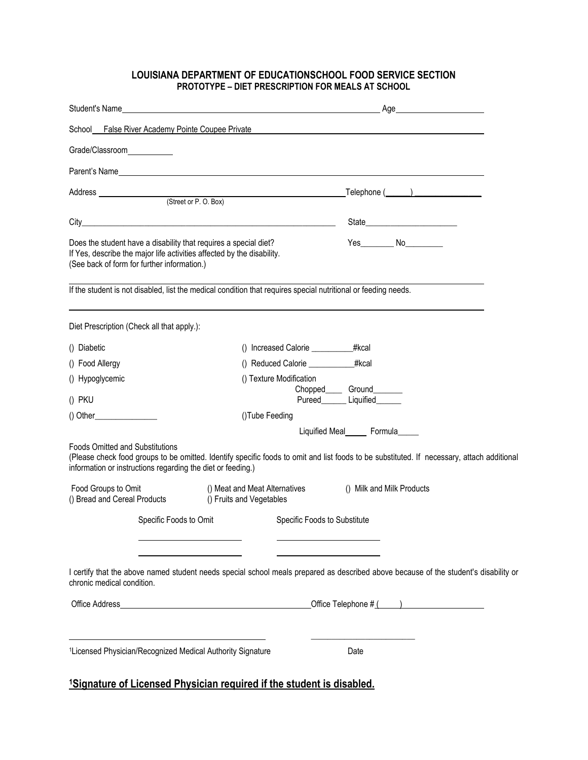## **LOUISIANA DEPARTMENT OF EDUCATIONSCHOOL FOOD SERVICE SECTION PROTOTYPE – DIET PRESCRIPTION FOR MEALS AT SCHOOL**

| Student's Name                                      |                                                                                                                                                                                           | <u> 1980 - Jan Stein Stein Stein Stein Stein Stein Stein Stein Stein Stein Stein Stein Stein Stein Stein Stein S</u>                                                                                                                          |
|-----------------------------------------------------|-------------------------------------------------------------------------------------------------------------------------------------------------------------------------------------------|-----------------------------------------------------------------------------------------------------------------------------------------------------------------------------------------------------------------------------------------------|
|                                                     | School False River Academy Pointe Coupee Private                                                                                                                                          |                                                                                                                                                                                                                                               |
| Grade/Classroom                                     |                                                                                                                                                                                           |                                                                                                                                                                                                                                               |
|                                                     |                                                                                                                                                                                           |                                                                                                                                                                                                                                               |
|                                                     |                                                                                                                                                                                           | _Telephone (______)________________                                                                                                                                                                                                           |
|                                                     |                                                                                                                                                                                           |                                                                                                                                                                                                                                               |
|                                                     |                                                                                                                                                                                           | City <b>Called the Community of the Community of the Community of the Community of the Community of the Community of the Community of the Community of the Community of the Community of the Community of the Community of the C</b><br>State |
|                                                     | Does the student have a disability that requires a special diet?<br>If Yes, describe the major life activities affected by the disability.<br>(See back of form for further information.) | Yes____________ No___________                                                                                                                                                                                                                 |
|                                                     |                                                                                                                                                                                           | If the student is not disabled, list the medical condition that requires special nutritional or feeding needs.                                                                                                                                |
|                                                     | Diet Prescription (Check all that apply.):                                                                                                                                                |                                                                                                                                                                                                                                               |
| () Diabetic                                         |                                                                                                                                                                                           | () Increased Calorie ____________#kcal                                                                                                                                                                                                        |
| () Food Allergy                                     |                                                                                                                                                                                           | #kcal<br>() Reduced Calorie ___________                                                                                                                                                                                                       |
| () Hypoglycemic                                     |                                                                                                                                                                                           | () Texture Modification<br>Chopped_______Ground_________                                                                                                                                                                                      |
| () PKU                                              |                                                                                                                                                                                           | Pureed________ Liquified_______                                                                                                                                                                                                               |
|                                                     |                                                                                                                                                                                           | ()Tube Feeding<br>Liquified Meal_______ Formula______                                                                                                                                                                                         |
| <b>Foods Omitted and Substitutions</b>              | information or instructions regarding the diet or feeding.)                                                                                                                               | (Please check food groups to be omitted. Identify specific foods to omit and list foods to be substituted. If necessary, attach additional                                                                                                    |
| Food Groups to Omit<br>() Bread and Cereal Products |                                                                                                                                                                                           | () Meat and Meat Alternatives<br>() Milk and Milk Products<br>() Fruits and Vegetables                                                                                                                                                        |
|                                                     | Specific Foods to Omit                                                                                                                                                                    | Specific Foods to Substitute                                                                                                                                                                                                                  |
|                                                     |                                                                                                                                                                                           |                                                                                                                                                                                                                                               |
| chronic medical condition.                          |                                                                                                                                                                                           | I certify that the above named student needs special school meals prepared as described above because of the student's disability or                                                                                                          |
|                                                     |                                                                                                                                                                                           | Office Telephone $#($ $)$                                                                                                                                                                                                                     |
|                                                     | <sup>1</sup> Licensed Physician/Recognized Medical Authority Signature                                                                                                                    | Date                                                                                                                                                                                                                                          |

## **1Signature of Licensed Physician required if the student is disabled.**